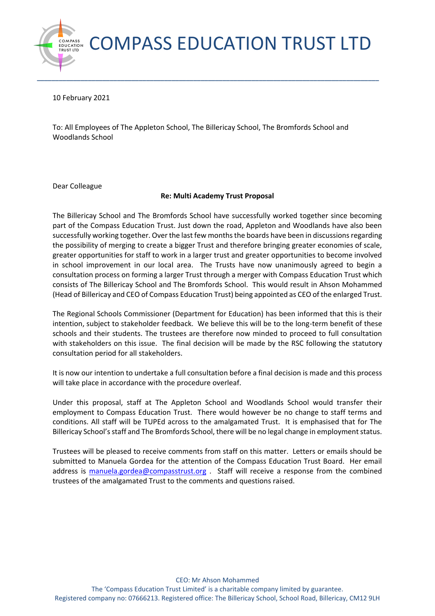COMPASS EDUCATION TRUST LTD

10 February 2021

**C O M PA S S T RU ST LTD E D U C AT IO N**

To: All Employees of The Appleton School, The Billericay School, The Bromfords School and Woodlands School

**\_\_\_\_\_\_\_\_\_\_\_\_\_\_\_\_\_\_\_\_\_\_\_\_\_\_\_\_\_\_\_\_\_\_\_\_\_\_\_\_\_\_\_\_\_\_\_\_\_\_\_\_\_\_\_\_\_\_\_\_\_\_\_\_\_\_\_\_\_\_\_\_\_\_\_\_\_\_\_\_\_\_\_\_\_\_\_\_\_\_\_\_\_\_**

Dear Colleague

## **Re: Multi Academy Trust Proposal**

The Billericay School and The Bromfords School have successfully worked together since becoming part of the Compass Education Trust. Just down the road, Appleton and Woodlands have also been successfully working together. Over the last few months the boards have been in discussions regarding the possibility of merging to create a bigger Trust and therefore bringing greater economies of scale, greater opportunities for staff to work in a larger trust and greater opportunities to become involved in school improvement in our local area. The Trusts have now unanimously agreed to begin a consultation process on forming a larger Trust through a merger with Compass Education Trust which consists of The Billericay School and The Bromfords School. This would result in Ahson Mohammed (Head of Billericay and CEO of Compass Education Trust) being appointed as CEO of the enlarged Trust.

The Regional Schools Commissioner (Department for Education) has been informed that this is their intention, subject to stakeholder feedback. We believe this will be to the long-term benefit of these schools and their students. The trustees are therefore now minded to proceed to full consultation with stakeholders on this issue. The final decision will be made by the RSC following the statutory consultation period for all stakeholders.

It is now our intention to undertake a full consultation before a final decision is made and this process will take place in accordance with the procedure overleaf.

Under this proposal, staff at The Appleton School and Woodlands School would transfer their employment to Compass Education Trust. There would however be no change to staff terms and conditions. All staff will be TUPEd across to the amalgamated Trust. It is emphasised that for The Billericay School's staff and The Bromfords School, there will be no legal change in employment status.

Trustees will be pleased to receive comments from staff on this matter. Letters or emails should be submitted to Manuela Gordea for the attention of the Compass Education Trust Board. Her email address is [manuela.gordea@compasstrust.org](mailto:manuela.gordea@compasstrust.org) . Staff will receive a response from the combined trustees of the amalgamated Trust to the comments and questions raised.